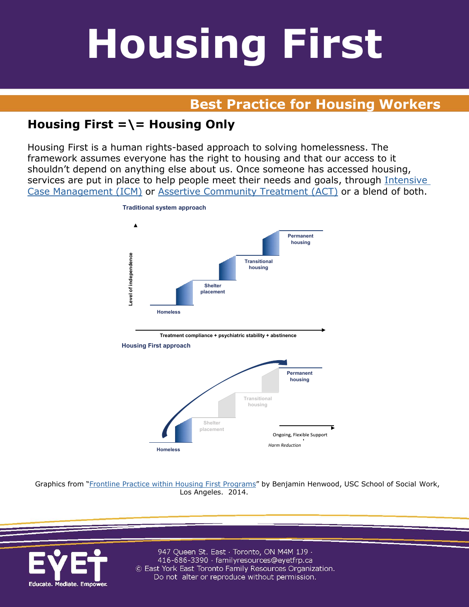## **Best Practice for Housing Workers**

## **Housing First =\= Housing Only**

Housing First is a human rights-based approach to solving homelessness. The framework assumes everyone has the right to housing and that our access to it shouldn't depend on anything else about us. Once someone has accessed housing, services are put in place to help people meet their needs and goals, through [Intensive](http://www.esdc.gc.ca/eng/communities/homelessness/housing_first/service_delivery/index.shtml#icm)  [Case Management \(ICM\)](http://www.esdc.gc.ca/eng/communities/homelessness/housing_first/service_delivery/index.shtml#icm) or [Assertive Community Treatment \(ACT\)](http://www.esdc.gc.ca/eng/communities/homelessness/housing_first/service_delivery/index.shtml#act) or a blend of both.



Graphics from ["Frontline Practice within Housing First Programs"](http://b.3cdn.net/naeh/48e5842b75ca6a7cf8_q7m6i6jzs.pdf) by Benjamin Henwood, USC School of Social Work, Los Angeles. 2014.

**Homeless** *Harm Reduction*

**Shelter placement** **housing**

Ongoing, Flexible Support

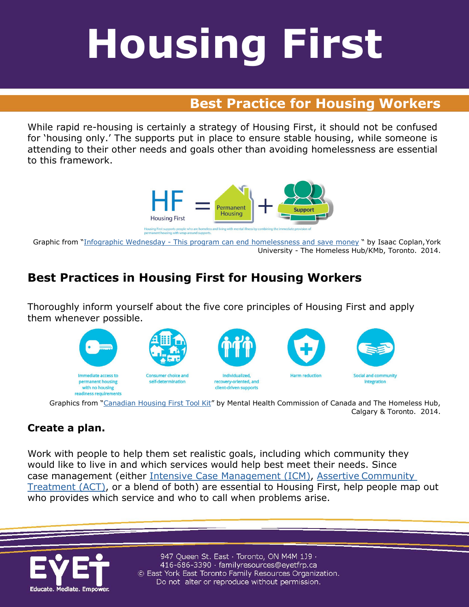## **Best Practice for Housing Workers**

While rapid re-housing is certainly a strategy of Housing First, it should not be confused for 'housing only.' The supports put in place to ensure stable housing, while someone is attending to their other needs and goals other than avoiding homelessness are essential to this framework.



Graphic from ["Infographic Wednesday - This program can end homelessness and save money](http://homelesshub.com/blog/infographic-wednesday-program-can-end-homelessness-and-save-money) " by Isaac Coplan,York University - The Homeless Hub/KMb, Toronto. 2014.

### **Best Practices in Housing First for Housing Workers**

Thoroughly inform yourself about the five core principles of Housing First and apply them whenever possible.



Graphics from ["Canadian](http://www.housingfirsttoolkit.ca/) Housing First Tool Kit" by Mental Health Commission of Canada and The Homeless Hub, Calgary & Toronto. 2014.

#### **Create a plan.**

Work with people to help them set realistic goals, including which community they would like to live in and which services would help best meet their needs. Since case management (either [Intensive Case Management \(ICM\),](http://www.esdc.gc.ca/eng/communities/homelessness/housing_first/service_delivery/index.shtml#icm) Assertive [Community](http://www.esdc.gc.ca/eng/communities/homelessness/housing_first/service_delivery/index.shtml#act) [Treatment \(ACT\),](http://www.esdc.gc.ca/eng/communities/homelessness/housing_first/service_delivery/index.shtml#act) or a blend of both) are essential to Housing First, help people map out who provides which service and who to call when problems arise.

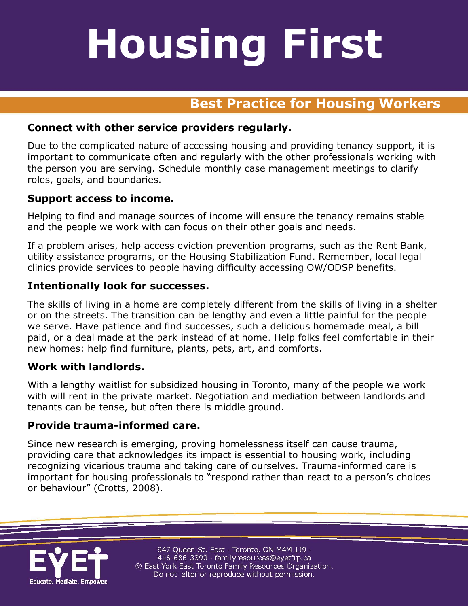## **Best Practice for Housing Workers**

#### **Connect with other service providers regularly.**

Due to the complicated nature of accessing housing and providing tenancy support, it is important to communicate often and regularly with the other professionals working with the person you are serving. Schedule monthly case management meetings to clarify roles, goals, and boundaries.

#### **Support access to income.**

Helping to find and manage sources of income will ensure the tenancy remains stable and the people we work with can focus on their other goals and needs.

If a problem arises, help access eviction prevention programs, such as the Rent Bank, utility assistance programs, or the Housing Stabilization Fund. Remember, local legal clinics provide services to people having difficulty accessing OW/ODSP benefits.

#### **Intentionally look for successes.**

The skills of living in a home are completely different from the skills of living in a shelter or on the streets. The transition can be lengthy and even a little painful for the people we serve. Have patience and find successes, such a delicious homemade meal, a bill paid, or a deal made at the park instead of at home. Help folks feel comfortable in their new homes: help find furniture, plants, pets, art, and comforts.

#### **Work with landlords.**

With a lengthy waitlist for subsidized housing in Toronto, many of the people we work with will rent in the private market. Negotiation and mediation between landlords and tenants can be tense, but often there is middle ground.

#### **Provide trauma-informed care.**

Since new research is emerging, proving homelessness itself can cause trauma, providing care that acknowledges its impact is essential to housing work, including recognizing vicarious trauma and taking care of ourselves. Trauma-informed care is important for housing professionals to "respond rather than react to a person's choices or behaviour" (Crotts, 2008).